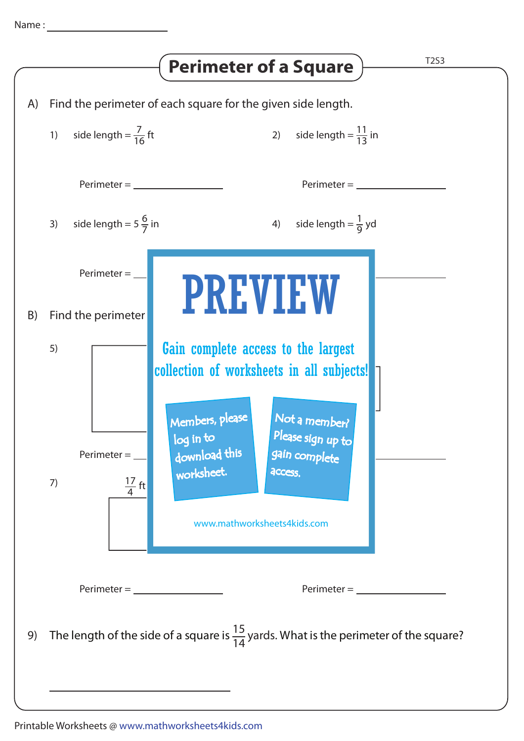